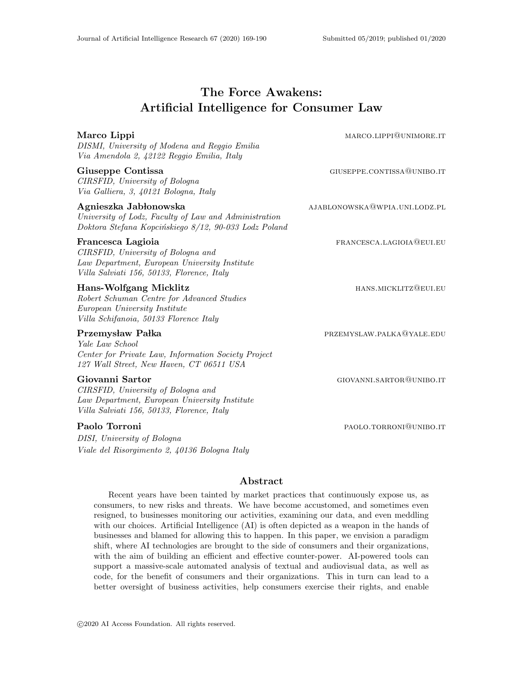# The Force Awakens: Artificial Intelligence for Consumer Law

| Marco Lippi<br>DISMI, University of Modena and Reggio Emilia<br>Via Amendola 2, 42122 Reggio Emilia, Italy                                             | MARCO.LIPPI@UNIMORE.IT        |
|--------------------------------------------------------------------------------------------------------------------------------------------------------|-------------------------------|
| Giuseppe Contissa<br>CIRSFID, University of Bologna<br>Via Galliera, 3, 40121 Bologna, Italy                                                           | GIUSEPPE.CONTISSA@UNIBO.IT    |
| Agnieszka Jabłonowska<br>University of Lodz, Faculty of Law and Administration<br>Doktora Stefana Kopcińskiego 8/12, 90-033 Lodz Poland                | AJABLONOWSKA@WPIA.UNI.LODZ.PL |
| Francesca Lagioia<br>CIRSFID, University of Bologna and<br>Law Department, European University Institute<br>Villa Salviati 156, 50133, Florence, Italy | FRANCESCA.LAGIOIA@EUI.EU      |
| Hans-Wolfgang Micklitz<br>Robert Schuman Centre for Advanced Studies<br>European University Institute<br>Villa Schifanoia, 50133 Florence Italy        | HANS.MICKLITZ@EUI.EU          |
| Przemysław Pałka<br>Yale Law School<br>Center for Private Law, Information Society Project<br>127 Wall Street, New Haven, CT 06511 USA                 | PRZEMYSLAW.PALKA@YALE.EDU     |
| Giovanni Sartor<br>CIRSFID, University of Bologna and<br>Law Department, European University Institute<br>Villa Salviati 156, 50133, Florence, Italy   | GIOVANNI.SARTOR@UNIBO.IT      |

DISI, University of Bologna Viale del Risorgimento 2, 40136 Bologna Italy

Paolo Torroni **participalitic Control** PAOLO.TORRONI<sup>QUNIBO.IT</sup>

## Abstract

Recent years have been tainted by market practices that continuously expose us, as consumers, to new risks and threats. We have become accustomed, and sometimes even resigned, to businesses monitoring our activities, examining our data, and even meddling with our choices. Artificial Intelligence (AI) is often depicted as a weapon in the hands of businesses and blamed for allowing this to happen. In this paper, we envision a paradigm shift, where AI technologies are brought to the side of consumers and their organizations, with the aim of building an efficient and effective counter-power. AI-powered tools can support a massive-scale automated analysis of textual and audiovisual data, as well as code, for the benefit of consumers and their organizations. This in turn can lead to a better oversight of business activities, help consumers exercise their rights, and enable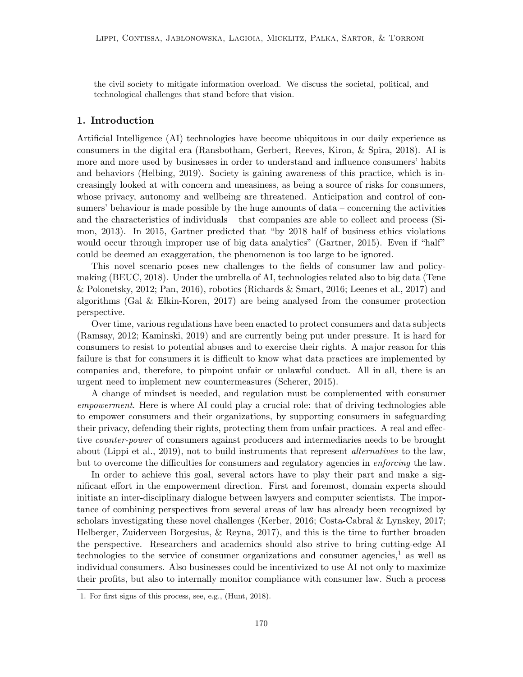the civil society to mitigate information overload. We discuss the societal, political, and technological challenges that stand before that vision.

## 1. Introduction

Artificial Intelligence (AI) technologies have become ubiquitous in our daily experience as consumers in the digital era (Ransbotham, Gerbert, Reeves, Kiron, & Spira, 2018). AI is more and more used by businesses in order to understand and influence consumers' habits and behaviors (Helbing, 2019). Society is gaining awareness of this practice, which is increasingly looked at with concern and uneasiness, as being a source of risks for consumers, whose privacy, autonomy and wellbeing are threatened. Anticipation and control of consumers' behaviour is made possible by the huge amounts of data – concerning the activities and the characteristics of individuals – that companies are able to collect and process (Simon, 2013). In 2015, Gartner predicted that "by 2018 half of business ethics violations would occur through improper use of big data analytics" (Gartner, 2015). Even if "half" could be deemed an exaggeration, the phenomenon is too large to be ignored.

This novel scenario poses new challenges to the fields of consumer law and policymaking (BEUC, 2018). Under the umbrella of AI, technologies related also to big data (Tene  $\&$  Polonetsky, 2012; Pan, 2016), robotics (Richards  $\&$  Smart, 2016; Leenes et al., 2017) and algorithms (Gal & Elkin-Koren, 2017) are being analysed from the consumer protection perspective.

Over time, various regulations have been enacted to protect consumers and data subjects (Ramsay, 2012; Kaminski, 2019) and are currently being put under pressure. It is hard for consumers to resist to potential abuses and to exercise their rights. A major reason for this failure is that for consumers it is difficult to know what data practices are implemented by companies and, therefore, to pinpoint unfair or unlawful conduct. All in all, there is an urgent need to implement new countermeasures (Scherer, 2015).

A change of mindset is needed, and regulation must be complemented with consumer empowerment. Here is where AI could play a crucial role: that of driving technologies able to empower consumers and their organizations, by supporting consumers in safeguarding their privacy, defending their rights, protecting them from unfair practices. A real and effective counter-power of consumers against producers and intermediaries needs to be brought about (Lippi et al., 2019), not to build instruments that represent *alternatives* to the law, but to overcome the difficulties for consumers and regulatory agencies in enforcing the law.

In order to achieve this goal, several actors have to play their part and make a significant effort in the empowerment direction. First and foremost, domain experts should initiate an inter-disciplinary dialogue between lawyers and computer scientists. The importance of combining perspectives from several areas of law has already been recognized by scholars investigating these novel challenges (Kerber, 2016; Costa-Cabral & Lynskey, 2017; Helberger, Zuiderveen Borgesius, & Reyna, 2017), and this is the time to further broaden the perspective. Researchers and academics should also strive to bring cutting-edge AI technologies to the service of consumer organizations and consumer agencies,<sup>1</sup> as well as individual consumers. Also businesses could be incentivized to use AI not only to maximize their profits, but also to internally monitor compliance with consumer law. Such a process

<sup>1.</sup> For first signs of this process, see, e.g., (Hunt, 2018).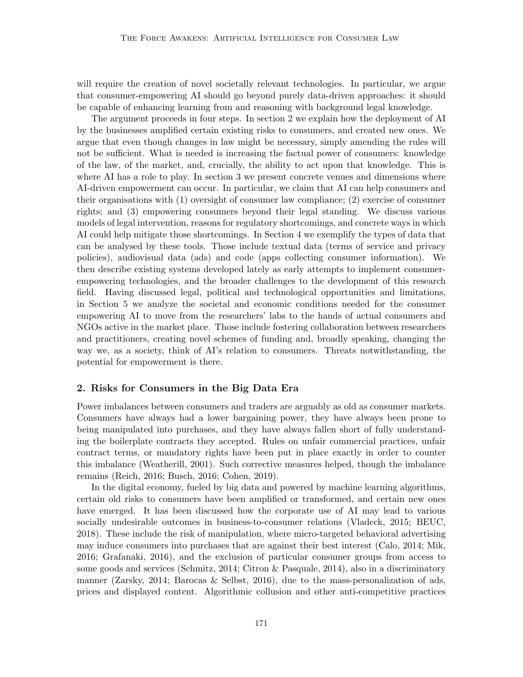will require the creation of novel societally relevant technologies. In particular, we argue that consumer-empowering AI should go beyond purely data-driven approaches: it should be capable of enhancing learning from and reasoning with background legal knowledge.

The argument proceeds in four steps. In section 2 we explain how the deployment of AI by the businesses amplified certain existing risks to consumers, and created new ones. We argue that even though changes in law might be necessary, simply amending the rules will not be sufficient. What is needed is increasing the factual power of consumers: knowledge of the law, of the market, and, crucially, the ability to act upon that knowledge. This is where AI has a role to play. In section 3 we present concrete venues and dimensions where AI-driven empowerment can occur. In particular, we claim that AI can help consumers and their organisations with (1) oversight of consumer law compliance; (2) exercise of consumer rights; and (3) empowering consumers beyond their legal standing. We discuss various models of legal intervention, reasons for regulatory shortcomings, and concrete ways in which AI could help mitigate those shortcomings. In Section 4 we exemplify the types of data that can be analysed by these tools. Those include textual data (terms of service and privacy policies), audiovisual data (ads) and code (apps collecting consumer information). We then describe existing systems developed lately as early attempts to implement consumerempowering technologies, and the broader challenges to the development of this research field. Having discussed legal, political and technological opportunities and limitations, in Section 5 we analyze the societal and economic conditions needed for the consumer empowering AI to move from the researchers' labs to the hands of actual consumers and NGOs active in the market place. Those include fostering collaboration between researchers and practitioners, creating novel schemes of funding and, broadly speaking, changing the way we, as a society, think of AI's relation to consumers. Threats notwithstanding, the potential for empowerment is there.

## 2. Risks for Consumers in the Big Data Era

Power imbalances between consumers and traders are arguably as old as consumer markets. Consumers have always had a lower bargaining power, they have always been prone to being manipulated into purchases, and they have always fallen short of fully understanding the boilerplate contracts they accepted. Rules on unfair commercial practices, unfair contract terms, or mandatory rights have been put in place exactly in order to counter this imbalance (Weatherill, 2001). Such corrective measures helped, though the imbalance remains (Reich, 2016; Busch, 2016; Cohen, 2019).

In the digital economy, fueled by big data and powered by machine learning algorithms, certain old risks to consumers have been amplified or transformed, and certain new ones have emerged. It has been discussed how the corporate use of AI may lead to various socially undesirable outcomes in business-to-consumer relations (Vladeck, 2015; BEUC, 2018). These include the risk of manipulation, where micro-targeted behavioral advertising may induce consumers into purchases that are against their best interest (Calo, 2014; Mik, 2016; Grafanaki, 2016), and the exclusion of particular consumer groups from access to some goods and services (Schmitz, 2014; Citron & Pasquale, 2014), also in a discriminatory manner (Zarsky, 2014; Barocas & Selbst, 2016), due to the mass-personalization of ads, prices and displayed content. Algorithmic collusion and other anti-competitive practices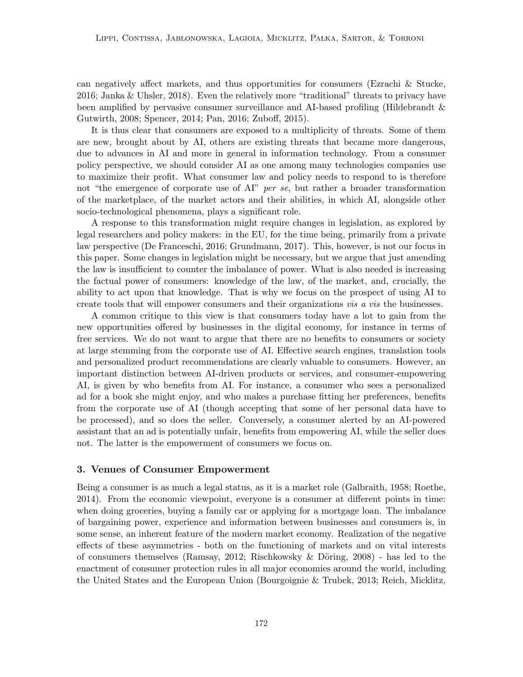can negatively affect markets, and thus opportunities for consumers (Ezrachi & Stucke, 2016; Janka & Uhsler, 2018). Even the relatively more "traditional" threats to privacy have been amplified by pervasive consumer surveillance and AI-based profiling (Hildebrandt & Gutwirth, 2008; Spencer, 2014; Pan, 2016; Zuboff, 2015).

It is thus clear that consumers are exposed to a multiplicity of threats. Some of them are new, brought about by AI, others are existing threats that became more dangerous, due to advances in AI and more in general in information technology. From a consumer policy perspective, we should consider AI as one among many technologies companies use to maximize their profit. What consumer law and policy needs to respond to is therefore not "the emergence of corporate use of  $AY'$  per se, but rather a broader transformation of the marketplace, of the market actors and their abilities, in which AI, alongside other socio-technological phenomena, plays a significant role.

A response to this transformation might require changes in legislation, as explored by legal researchers and policy makers: in the EU, for the time being, primarily from a private law perspective (De Franceschi, 2016; Grundmann, 2017). This, however, is not our focus in this paper. Some changes in legislation might be necessary, but we argue that just amending the law is insufficient to counter the imbalance of power. What is also needed is increasing the factual power of consumers: knowledge of the law, of the market, and, crucially, the ability to act upon that knowledge. That is why we focus on the prospect of using AI to create tools that will empower consumers and their organizations vis a vis the businesses.

A common critique to this view is that consumers today have a lot to gain from the new opportunities offered by businesses in the digital economy, for instance in terms of free services. We do not want to argue that there are no benefits to consumers or society at large stemming from the corporate use of AI. Effective search engines, translation tools and personalized product recommendations are clearly valuable to consumers. However, an important distinction between AI-driven products or services, and consumer-empowering AI, is given by who benefits from AI. For instance, a consumer who sees a personalized ad for a book she might enjoy, and who makes a purchase fitting her preferences, benefits from the corporate use of AI (though accepting that some of her personal data have to be processed), and so does the seller. Conversely, a consumer alerted by an AI-powered assistant that an ad is potentially unfair, benefits from empowering AI, while the seller does not. The latter is the empowerment of consumers we focus on.

## 3. Venues of Consumer Empowerment

Being a consumer is as much a legal status, as it is a market role (Galbraith, 1958; Roethe, 2014). From the economic viewpoint, everyone is a consumer at different points in time: when doing groceries, buying a family car or applying for a mortgage loan. The imbalance of bargaining power, experience and information between businesses and consumers is, in some sense, an inherent feature of the modern market economy. Realization of the negative effects of these asymmetries - both on the functioning of markets and on vital interests of consumers themselves (Ramsay, 2012; Rischkowsky & Döring, 2008) - has led to the enactment of consumer protection rules in all major economies around the world, including the United States and the European Union (Bourgoignie & Trubek, 2013; Reich, Micklitz,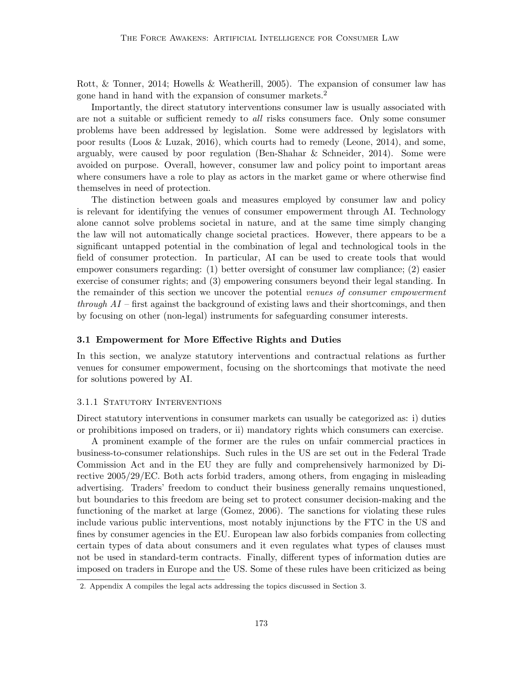Rott, & Tonner, 2014; Howells & Weatherill, 2005). The expansion of consumer law has gone hand in hand with the expansion of consumer markets.<sup>2</sup>

Importantly, the direct statutory interventions consumer law is usually associated with are not a suitable or sufficient remedy to *all* risks consumers face. Only some consumer problems have been addressed by legislation. Some were addressed by legislators with poor results (Loos & Luzak, 2016), which courts had to remedy (Leone, 2014), and some, arguably, were caused by poor regulation (Ben-Shahar & Schneider, 2014). Some were avoided on purpose. Overall, however, consumer law and policy point to important areas where consumers have a role to play as actors in the market game or where otherwise find themselves in need of protection.

The distinction between goals and measures employed by consumer law and policy is relevant for identifying the venues of consumer empowerment through AI. Technology alone cannot solve problems societal in nature, and at the same time simply changing the law will not automatically change societal practices. However, there appears to be a significant untapped potential in the combination of legal and technological tools in the field of consumer protection. In particular, AI can be used to create tools that would empower consumers regarding: (1) better oversight of consumer law compliance; (2) easier exercise of consumer rights; and (3) empowering consumers beyond their legal standing. In the remainder of this section we uncover the potential venues of consumer empowerment through  $AI$  – first against the background of existing laws and their shortcomings, and then by focusing on other (non-legal) instruments for safeguarding consumer interests.

#### 3.1 Empowerment for More Effective Rights and Duties

In this section, we analyze statutory interventions and contractual relations as further venues for consumer empowerment, focusing on the shortcomings that motivate the need for solutions powered by AI.

#### 3.1.1 STATUTORY INTERVENTIONS

Direct statutory interventions in consumer markets can usually be categorized as: i) duties or prohibitions imposed on traders, or ii) mandatory rights which consumers can exercise.

A prominent example of the former are the rules on unfair commercial practices in business-to-consumer relationships. Such rules in the US are set out in the Federal Trade Commission Act and in the EU they are fully and comprehensively harmonized by Directive 2005/29/EC. Both acts forbid traders, among others, from engaging in misleading advertising. Traders' freedom to conduct their business generally remains unquestioned, but boundaries to this freedom are being set to protect consumer decision-making and the functioning of the market at large (Gomez, 2006). The sanctions for violating these rules include various public interventions, most notably injunctions by the FTC in the US and fines by consumer agencies in the EU. European law also forbids companies from collecting certain types of data about consumers and it even regulates what types of clauses must not be used in standard-term contracts. Finally, different types of information duties are imposed on traders in Europe and the US. Some of these rules have been criticized as being

<sup>2.</sup> Appendix A compiles the legal acts addressing the topics discussed in Section 3.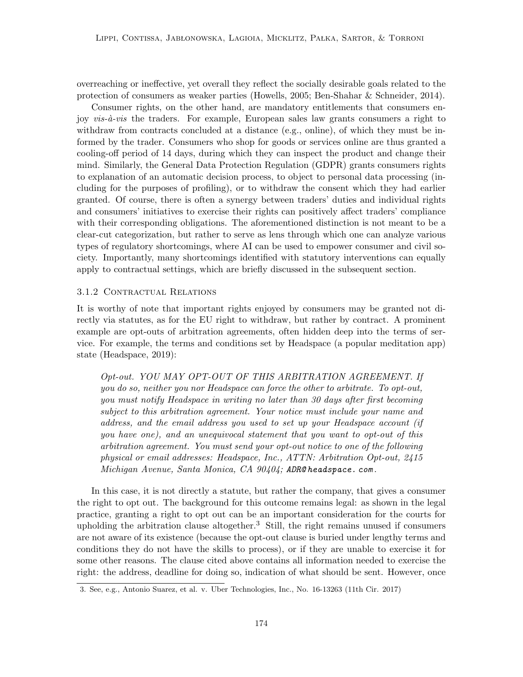overreaching or ineffective, yet overall they reflect the socially desirable goals related to the protection of consumers as weaker parties (Howells, 2005; Ben-Shahar & Schneider, 2014).

Consumer rights, on the other hand, are mandatory entitlements that consumers enjoy  $vis-\hat{a}-vis$  the traders. For example, European sales law grants consumers a right to withdraw from contracts concluded at a distance (e.g., online), of which they must be informed by the trader. Consumers who shop for goods or services online are thus granted a cooling-off period of 14 days, during which they can inspect the product and change their mind. Similarly, the General Data Protection Regulation (GDPR) grants consumers rights to explanation of an automatic decision process, to object to personal data processing (including for the purposes of profiling), or to withdraw the consent which they had earlier granted. Of course, there is often a synergy between traders' duties and individual rights and consumers' initiatives to exercise their rights can positively affect traders' compliance with their corresponding obligations. The aforementioned distinction is not meant to be a clear-cut categorization, but rather to serve as lens through which one can analyze various types of regulatory shortcomings, where AI can be used to empower consumer and civil society. Importantly, many shortcomings identified with statutory interventions can equally apply to contractual settings, which are briefly discussed in the subsequent section.

### 3.1.2 Contractual Relations

It is worthy of note that important rights enjoyed by consumers may be granted not directly via statutes, as for the EU right to withdraw, but rather by contract. A prominent example are opt-outs of arbitration agreements, often hidden deep into the terms of service. For example, the terms and conditions set by Headspace (a popular meditation app) state (Headspace, 2019):

Opt-out. YOU MAY OPT-OUT OF THIS ARBITRATION AGREEMENT. If you do so, neither you nor Headspace can force the other to arbitrate. To opt-out, you must notify Headspace in writing no later than 30 days after first becoming subject to this arbitration agreement. Your notice must include your name and address, and the email address you used to set up your Headspace account (if you have one), and an unequivocal statement that you want to opt-out of this arbitration agreement. You must send your opt-out notice to one of the following physical or email addresses: Headspace, Inc., ATTN: Arbitration Opt-out, 2415 Michigan Avenue, Santa Monica, CA 90404; ADR@ headspace. com .

In this case, it is not directly a statute, but rather the company, that gives a consumer the right to opt out. The background for this outcome remains legal: as shown in the legal practice, granting a right to opt out can be an important consideration for the courts for upholding the arbitration clause altogether.<sup>3</sup> Still, the right remains unused if consumers are not aware of its existence (because the opt-out clause is buried under lengthy terms and conditions they do not have the skills to process), or if they are unable to exercise it for some other reasons. The clause cited above contains all information needed to exercise the right: the address, deadline for doing so, indication of what should be sent. However, once

<sup>3.</sup> See, e.g., Antonio Suarez, et al. v. Uber Technologies, Inc., No. 16-13263 (11th Cir. 2017)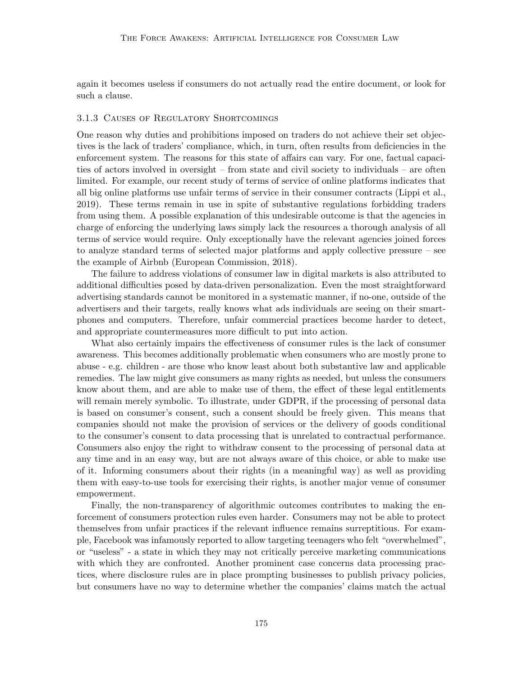again it becomes useless if consumers do not actually read the entire document, or look for such a clause.

## 3.1.3 Causes of Regulatory Shortcomings

One reason why duties and prohibitions imposed on traders do not achieve their set objectives is the lack of traders' compliance, which, in turn, often results from deficiencies in the enforcement system. The reasons for this state of affairs can vary. For one, factual capacities of actors involved in oversight – from state and civil society to individuals – are often limited. For example, our recent study of terms of service of online platforms indicates that all big online platforms use unfair terms of service in their consumer contracts (Lippi et al., 2019). These terms remain in use in spite of substantive regulations forbidding traders from using them. A possible explanation of this undesirable outcome is that the agencies in charge of enforcing the underlying laws simply lack the resources a thorough analysis of all terms of service would require. Only exceptionally have the relevant agencies joined forces to analyze standard terms of selected major platforms and apply collective pressure – see the example of Airbnb (European Commission, 2018).

The failure to address violations of consumer law in digital markets is also attributed to additional difficulties posed by data-driven personalization. Even the most straightforward advertising standards cannot be monitored in a systematic manner, if no-one, outside of the advertisers and their targets, really knows what ads individuals are seeing on their smartphones and computers. Therefore, unfair commercial practices become harder to detect, and appropriate countermeasures more difficult to put into action.

What also certainly impairs the effectiveness of consumer rules is the lack of consumer awareness. This becomes additionally problematic when consumers who are mostly prone to abuse - e.g. children - are those who know least about both substantive law and applicable remedies. The law might give consumers as many rights as needed, but unless the consumers know about them, and are able to make use of them, the effect of these legal entitlements will remain merely symbolic. To illustrate, under GDPR, if the processing of personal data is based on consumer's consent, such a consent should be freely given. This means that companies should not make the provision of services or the delivery of goods conditional to the consumer's consent to data processing that is unrelated to contractual performance. Consumers also enjoy the right to withdraw consent to the processing of personal data at any time and in an easy way, but are not always aware of this choice, or able to make use of it. Informing consumers about their rights (in a meaningful way) as well as providing them with easy-to-use tools for exercising their rights, is another major venue of consumer empowerment.

Finally, the non-transparency of algorithmic outcomes contributes to making the enforcement of consumers protection rules even harder. Consumers may not be able to protect themselves from unfair practices if the relevant influence remains surreptitious. For example, Facebook was infamously reported to allow targeting teenagers who felt "overwhelmed", or "useless" - a state in which they may not critically perceive marketing communications with which they are confronted. Another prominent case concerns data processing practices, where disclosure rules are in place prompting businesses to publish privacy policies, but consumers have no way to determine whether the companies' claims match the actual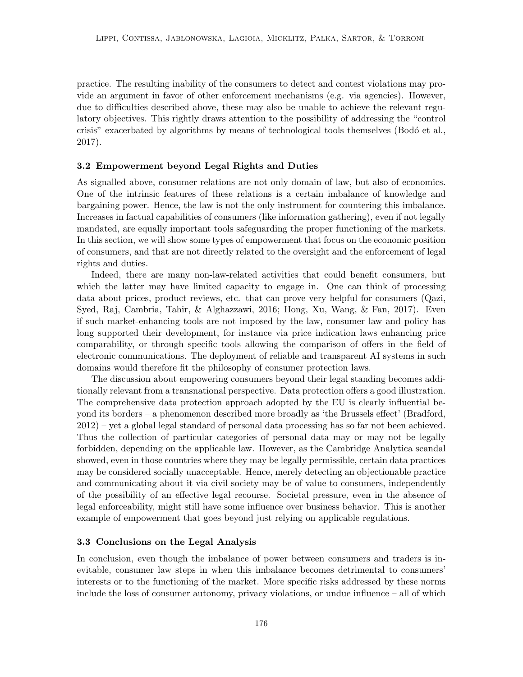practice. The resulting inability of the consumers to detect and contest violations may provide an argument in favor of other enforcement mechanisms (e.g. via agencies). However, due to difficulties described above, these may also be unable to achieve the relevant regulatory objectives. This rightly draws attention to the possibility of addressing the "control crisis" exacerbated by algorithms by means of technological tools themselves (Bodó et al., 2017).

#### 3.2 Empowerment beyond Legal Rights and Duties

As signalled above, consumer relations are not only domain of law, but also of economics. One of the intrinsic features of these relations is a certain imbalance of knowledge and bargaining power. Hence, the law is not the only instrument for countering this imbalance. Increases in factual capabilities of consumers (like information gathering), even if not legally mandated, are equally important tools safeguarding the proper functioning of the markets. In this section, we will show some types of empowerment that focus on the economic position of consumers, and that are not directly related to the oversight and the enforcement of legal rights and duties.

Indeed, there are many non-law-related activities that could benefit consumers, but which the latter may have limited capacity to engage in. One can think of processing data about prices, product reviews, etc. that can prove very helpful for consumers (Qazi, Syed, Raj, Cambria, Tahir, & Alghazzawi, 2016; Hong, Xu, Wang, & Fan, 2017). Even if such market-enhancing tools are not imposed by the law, consumer law and policy has long supported their development, for instance via price indication laws enhancing price comparability, or through specific tools allowing the comparison of offers in the field of electronic communications. The deployment of reliable and transparent AI systems in such domains would therefore fit the philosophy of consumer protection laws.

The discussion about empowering consumers beyond their legal standing becomes additionally relevant from a transnational perspective. Data protection offers a good illustration. The comprehensive data protection approach adopted by the EU is clearly influential beyond its borders – a phenomenon described more broadly as 'the Brussels effect' (Bradford, 2012) – yet a global legal standard of personal data processing has so far not been achieved. Thus the collection of particular categories of personal data may or may not be legally forbidden, depending on the applicable law. However, as the Cambridge Analytica scandal showed, even in those countries where they may be legally permissible, certain data practices may be considered socially unacceptable. Hence, merely detecting an objectionable practice and communicating about it via civil society may be of value to consumers, independently of the possibility of an effective legal recourse. Societal pressure, even in the absence of legal enforceability, might still have some influence over business behavior. This is another example of empowerment that goes beyond just relying on applicable regulations.

## 3.3 Conclusions on the Legal Analysis

In conclusion, even though the imbalance of power between consumers and traders is inevitable, consumer law steps in when this imbalance becomes detrimental to consumers' interests or to the functioning of the market. More specific risks addressed by these norms include the loss of consumer autonomy, privacy violations, or undue influence – all of which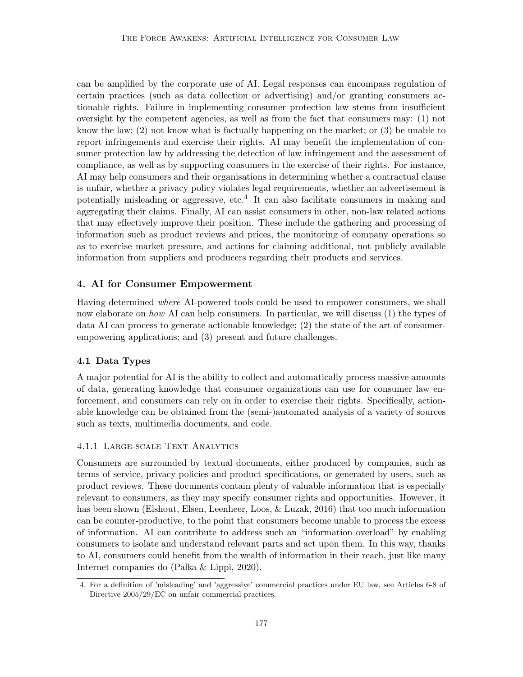can be amplified by the corporate use of AI. Legal responses can encompass regulation of certain practices (such as data collection or advertising) and/or granting consumers actionable rights. Failure in implementing consumer protection law stems from insufficient oversight by the competent agencies, as well as from the fact that consumers may: (1) not know the law;  $(2)$  not know what is factually happening on the market; or  $(3)$  be unable to report infringements and exercise their rights. AI may benefit the implementation of consumer protection law by addressing the detection of law infringement and the assessment of compliance, as well as by supporting consumers in the exercise of their rights. For instance, AI may help consumers and their organisations in determining whether a contractual clause is unfair, whether a privacy policy violates legal requirements, whether an advertisement is potentially misleading or aggressive, etc.<sup>4</sup> It can also facilitate consumers in making and aggregating their claims. Finally, AI can assist consumers in other, non-law related actions that may effectively improve their position. These include the gathering and processing of information such as product reviews and prices, the monitoring of company operations so as to exercise market pressure, and actions for claiming additional, not publicly available information from suppliers and producers regarding their products and services.

## 4. AI for Consumer Empowerment

Having determined where AI-powered tools could be used to empower consumers, we shall now elaborate on how AI can help consumers. In particular, we will discuss (1) the types of data AI can process to generate actionable knowledge; (2) the state of the art of consumerempowering applications; and (3) present and future challenges.

## 4.1 Data Types

A major potential for AI is the ability to collect and automatically process massive amounts of data, generating knowledge that consumer organizations can use for consumer law enforcement, and consumers can rely on in order to exercise their rights. Specifically, actionable knowledge can be obtained from the (semi-)automated analysis of a variety of sources such as texts, multimedia documents, and code.

## 4.1.1 Large-scale Text Analytics

Consumers are surrounded by textual documents, either produced by companies, such as terms of service, privacy policies and product specifications, or generated by users, such as product reviews. These documents contain plenty of valuable information that is especially relevant to consumers, as they may specify consumer rights and opportunities. However, it has been shown (Elshout, Elsen, Leenheer, Loos, & Luzak, 2016) that too much information can be counter-productive, to the point that consumers become unable to process the excess of information. AI can contribute to address such an "information overload" by enabling consumers to isolate and understand relevant parts and act upon them. In this way, thanks to AI, consumers could benefit from the wealth of information in their reach, just like many Internet companies do  $(Palka \& Lippi, 2020)$ .

<sup>4.</sup> For a definition of 'misleading' and 'aggressive' commercial practices under EU law, see Articles 6-8 of Directive 2005/29/EC on unfair commercial practices.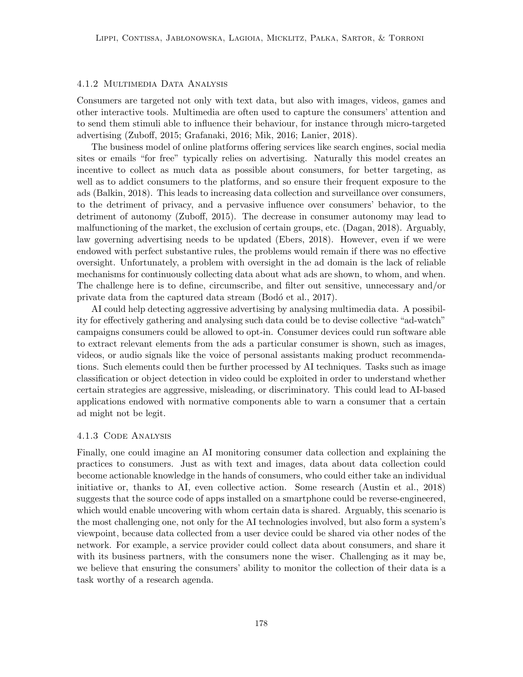## 4.1.2 Multimedia Data Analysis

Consumers are targeted not only with text data, but also with images, videos, games and other interactive tools. Multimedia are often used to capture the consumers' attention and to send them stimuli able to influence their behaviour, for instance through micro-targeted advertising (Zuboff, 2015; Grafanaki, 2016; Mik, 2016; Lanier, 2018).

The business model of online platforms offering services like search engines, social media sites or emails "for free" typically relies on advertising. Naturally this model creates an incentive to collect as much data as possible about consumers, for better targeting, as well as to addict consumers to the platforms, and so ensure their frequent exposure to the ads (Balkin, 2018). This leads to increasing data collection and surveillance over consumers, to the detriment of privacy, and a pervasive influence over consumers' behavior, to the detriment of autonomy (Zuboff, 2015). The decrease in consumer autonomy may lead to malfunctioning of the market, the exclusion of certain groups, etc. (Dagan, 2018). Arguably, law governing advertising needs to be updated (Ebers, 2018). However, even if we were endowed with perfect substantive rules, the problems would remain if there was no effective oversight. Unfortunately, a problem with oversight in the ad domain is the lack of reliable mechanisms for continuously collecting data about what ads are shown, to whom, and when. The challenge here is to define, circumscribe, and filter out sensitive, unnecessary and/or private data from the captured data stream (Bodó et al., 2017).

AI could help detecting aggressive advertising by analysing multimedia data. A possibility for effectively gathering and analysing such data could be to devise collective "ad-watch" campaigns consumers could be allowed to opt-in. Consumer devices could run software able to extract relevant elements from the ads a particular consumer is shown, such as images, videos, or audio signals like the voice of personal assistants making product recommendations. Such elements could then be further processed by AI techniques. Tasks such as image classification or object detection in video could be exploited in order to understand whether certain strategies are aggressive, misleading, or discriminatory. This could lead to AI-based applications endowed with normative components able to warn a consumer that a certain ad might not be legit.

#### 4.1.3 Code Analysis

Finally, one could imagine an AI monitoring consumer data collection and explaining the practices to consumers. Just as with text and images, data about data collection could become actionable knowledge in the hands of consumers, who could either take an individual initiative or, thanks to AI, even collective action. Some research (Austin et al., 2018) suggests that the source code of apps installed on a smartphone could be reverse-engineered, which would enable uncovering with whom certain data is shared. Arguably, this scenario is the most challenging one, not only for the AI technologies involved, but also form a system's viewpoint, because data collected from a user device could be shared via other nodes of the network. For example, a service provider could collect data about consumers, and share it with its business partners, with the consumers none the wiser. Challenging as it may be, we believe that ensuring the consumers' ability to monitor the collection of their data is a task worthy of a research agenda.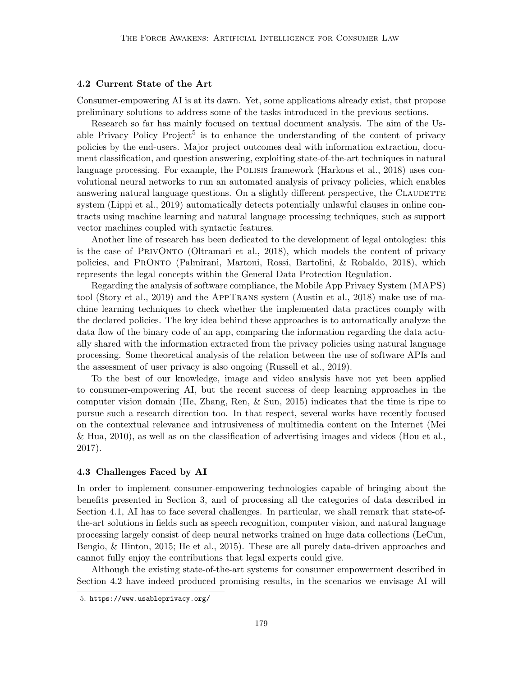## 4.2 Current State of the Art

Consumer-empowering AI is at its dawn. Yet, some applications already exist, that propose preliminary solutions to address some of the tasks introduced in the previous sections.

Research so far has mainly focused on textual document analysis. The aim of the Usable Privacy Policy Project<sup>5</sup> is to enhance the understanding of the content of privacy policies by the end-users. Major project outcomes deal with information extraction, document classification, and question answering, exploiting state-of-the-art techniques in natural language processing. For example, the Polisis framework (Harkous et al., 2018) uses convolutional neural networks to run an automated analysis of privacy policies, which enables answering natural language questions. On a slightly different perspective, the CLAUDETTE system (Lippi et al., 2019) automatically detects potentially unlawful clauses in online contracts using machine learning and natural language processing techniques, such as support vector machines coupled with syntactic features.

Another line of research has been dedicated to the development of legal ontologies: this is the case of PrivOnto (Oltramari et al., 2018), which models the content of privacy policies, and PrOnto (Palmirani, Martoni, Rossi, Bartolini, & Robaldo, 2018), which represents the legal concepts within the General Data Protection Regulation.

Regarding the analysis of software compliance, the Mobile App Privacy System (MAPS) tool (Story et al., 2019) and the AppTrans system (Austin et al., 2018) make use of machine learning techniques to check whether the implemented data practices comply with the declared policies. The key idea behind these approaches is to automatically analyze the data flow of the binary code of an app, comparing the information regarding the data actually shared with the information extracted from the privacy policies using natural language processing. Some theoretical analysis of the relation between the use of software APIs and the assessment of user privacy is also ongoing (Russell et al., 2019).

To the best of our knowledge, image and video analysis have not yet been applied to consumer-empowering AI, but the recent success of deep learning approaches in the computer vision domain (He, Zhang, Ren, & Sun, 2015) indicates that the time is ripe to pursue such a research direction too. In that respect, several works have recently focused on the contextual relevance and intrusiveness of multimedia content on the Internet (Mei & Hua, 2010), as well as on the classification of advertising images and videos (Hou et al., 2017).

### 4.3 Challenges Faced by AI

In order to implement consumer-empowering technologies capable of bringing about the benefits presented in Section 3, and of processing all the categories of data described in Section 4.1, AI has to face several challenges. In particular, we shall remark that state-ofthe-art solutions in fields such as speech recognition, computer vision, and natural language processing largely consist of deep neural networks trained on huge data collections (LeCun, Bengio, & Hinton, 2015; He et al., 2015). These are all purely data-driven approaches and cannot fully enjoy the contributions that legal experts could give.

Although the existing state-of-the-art systems for consumer empowerment described in Section 4.2 have indeed produced promising results, in the scenarios we envisage AI will

<sup>5.</sup> https://www.usableprivacy.org/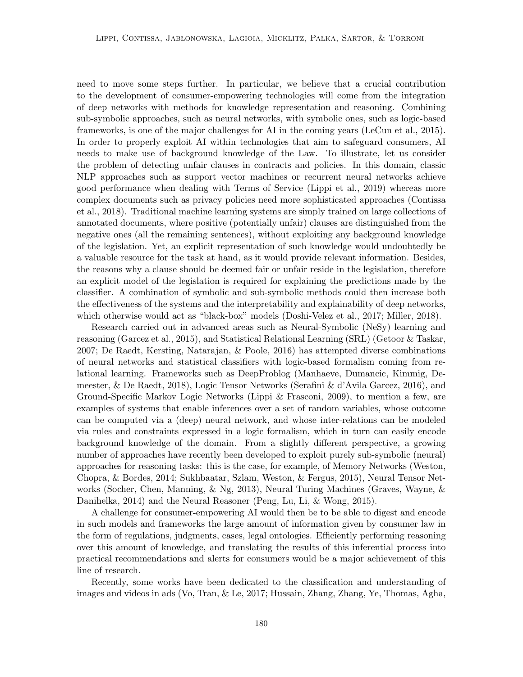need to move some steps further. In particular, we believe that a crucial contribution to the development of consumer-empowering technologies will come from the integration of deep networks with methods for knowledge representation and reasoning. Combining sub-symbolic approaches, such as neural networks, with symbolic ones, such as logic-based frameworks, is one of the major challenges for AI in the coming years (LeCun et al., 2015). In order to properly exploit AI within technologies that aim to safeguard consumers, AI needs to make use of background knowledge of the Law. To illustrate, let us consider the problem of detecting unfair clauses in contracts and policies. In this domain, classic NLP approaches such as support vector machines or recurrent neural networks achieve good performance when dealing with Terms of Service (Lippi et al., 2019) whereas more complex documents such as privacy policies need more sophisticated approaches (Contissa et al., 2018). Traditional machine learning systems are simply trained on large collections of annotated documents, where positive (potentially unfair) clauses are distinguished from the negative ones (all the remaining sentences), without exploiting any background knowledge of the legislation. Yet, an explicit representation of such knowledge would undoubtedly be a valuable resource for the task at hand, as it would provide relevant information. Besides, the reasons why a clause should be deemed fair or unfair reside in the legislation, therefore an explicit model of the legislation is required for explaining the predictions made by the classifier. A combination of symbolic and sub-symbolic methods could then increase both the effectiveness of the systems and the interpretability and explainability of deep networks, which otherwise would act as "black-box" models (Doshi-Velez et al., 2017; Miller, 2018).

Research carried out in advanced areas such as Neural-Symbolic (NeSy) learning and reasoning (Garcez et al., 2015), and Statistical Relational Learning (SRL) (Getoor & Taskar, 2007; De Raedt, Kersting, Natarajan, & Poole, 2016) has attempted diverse combinations of neural networks and statistical classifiers with logic-based formalism coming from relational learning. Frameworks such as DeepProblog (Manhaeve, Dumancic, Kimmig, Demeester, & De Raedt, 2018), Logic Tensor Networks (Serafini & d'Avila Garcez, 2016), and Ground-Specific Markov Logic Networks (Lippi & Frasconi, 2009), to mention a few, are examples of systems that enable inferences over a set of random variables, whose outcome can be computed via a (deep) neural network, and whose inter-relations can be modeled via rules and constraints expressed in a logic formalism, which in turn can easily encode background knowledge of the domain. From a slightly different perspective, a growing number of approaches have recently been developed to exploit purely sub-symbolic (neural) approaches for reasoning tasks: this is the case, for example, of Memory Networks (Weston, Chopra, & Bordes, 2014; Sukhbaatar, Szlam, Weston, & Fergus, 2015), Neural Tensor Networks (Socher, Chen, Manning, & Ng, 2013), Neural Turing Machines (Graves, Wayne, & Danihelka, 2014) and the Neural Reasoner (Peng, Lu, Li, & Wong, 2015).

A challenge for consumer-empowering AI would then be to be able to digest and encode in such models and frameworks the large amount of information given by consumer law in the form of regulations, judgments, cases, legal ontologies. Efficiently performing reasoning over this amount of knowledge, and translating the results of this inferential process into practical recommendations and alerts for consumers would be a major achievement of this line of research.

Recently, some works have been dedicated to the classification and understanding of images and videos in ads (Vo, Tran, & Le, 2017; Hussain, Zhang, Zhang, Ye, Thomas, Agha,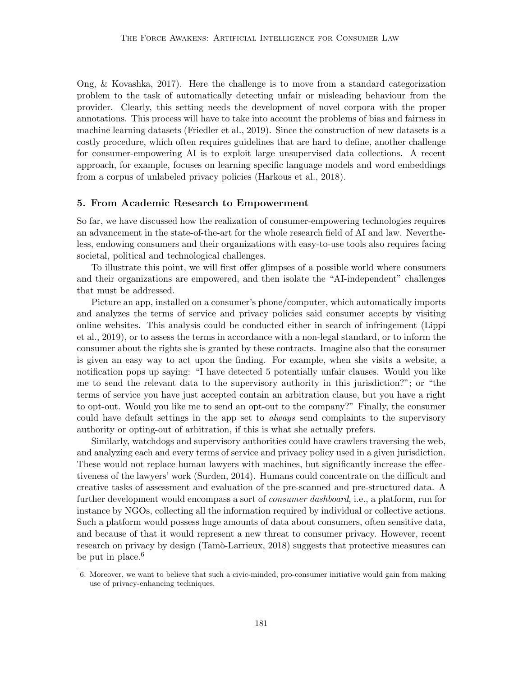Ong, & Kovashka, 2017). Here the challenge is to move from a standard categorization problem to the task of automatically detecting unfair or misleading behaviour from the provider. Clearly, this setting needs the development of novel corpora with the proper annotations. This process will have to take into account the problems of bias and fairness in machine learning datasets (Friedler et al., 2019). Since the construction of new datasets is a costly procedure, which often requires guidelines that are hard to define, another challenge for consumer-empowering AI is to exploit large unsupervised data collections. A recent approach, for example, focuses on learning specific language models and word embeddings from a corpus of unlabeled privacy policies (Harkous et al., 2018).

## 5. From Academic Research to Empowerment

So far, we have discussed how the realization of consumer-empowering technologies requires an advancement in the state-of-the-art for the whole research field of AI and law. Nevertheless, endowing consumers and their organizations with easy-to-use tools also requires facing societal, political and technological challenges.

To illustrate this point, we will first offer glimpses of a possible world where consumers and their organizations are empowered, and then isolate the "AI-independent" challenges that must be addressed.

Picture an app, installed on a consumer's phone/computer, which automatically imports and analyzes the terms of service and privacy policies said consumer accepts by visiting online websites. This analysis could be conducted either in search of infringement (Lippi et al., 2019), or to assess the terms in accordance with a non-legal standard, or to inform the consumer about the rights she is granted by these contracts. Imagine also that the consumer is given an easy way to act upon the finding. For example, when she visits a website, a notification pops up saying: "I have detected 5 potentially unfair clauses. Would you like me to send the relevant data to the supervisory authority in this jurisdiction?"; or "the terms of service you have just accepted contain an arbitration clause, but you have a right to opt-out. Would you like me to send an opt-out to the company?" Finally, the consumer could have default settings in the app set to *always* send complaints to the supervisory authority or opting-out of arbitration, if this is what she actually prefers.

Similarly, watchdogs and supervisory authorities could have crawlers traversing the web, and analyzing each and every terms of service and privacy policy used in a given jurisdiction. These would not replace human lawyers with machines, but significantly increase the effectiveness of the lawyers' work (Surden, 2014). Humans could concentrate on the difficult and creative tasks of assessment and evaluation of the pre-scanned and pre-structured data. A further development would encompass a sort of *consumer dashboard*, i.e., a platform, run for instance by NGOs, collecting all the information required by individual or collective actions. Such a platform would possess huge amounts of data about consumers, often sensitive data, and because of that it would represent a new threat to consumer privacy. However, recent research on privacy by design (Tamò-Larrieux, 2018) suggests that protective measures can be put in place. $6$ 

<sup>6.</sup> Moreover, we want to believe that such a civic-minded, pro-consumer initiative would gain from making use of privacy-enhancing techniques.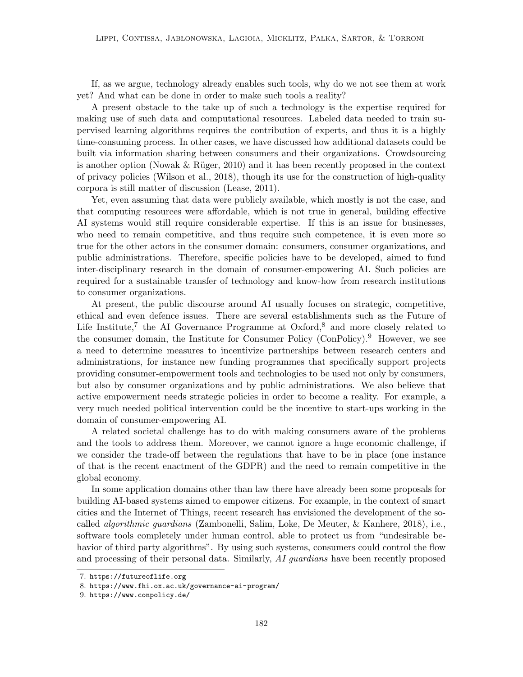If, as we argue, technology already enables such tools, why do we not see them at work yet? And what can be done in order to make such tools a reality?

A present obstacle to the take up of such a technology is the expertise required for making use of such data and computational resources. Labeled data needed to train supervised learning algorithms requires the contribution of experts, and thus it is a highly time-consuming process. In other cases, we have discussed how additional datasets could be built via information sharing between consumers and their organizations. Crowdsourcing is another option (Nowak  $\&$  Rüger, 2010) and it has been recently proposed in the context of privacy policies (Wilson et al., 2018), though its use for the construction of high-quality corpora is still matter of discussion (Lease, 2011).

Yet, even assuming that data were publicly available, which mostly is not the case, and that computing resources were affordable, which is not true in general, building effective AI systems would still require considerable expertise. If this is an issue for businesses, who need to remain competitive, and thus require such competence, it is even more so true for the other actors in the consumer domain: consumers, consumer organizations, and public administrations. Therefore, specific policies have to be developed, aimed to fund inter-disciplinary research in the domain of consumer-empowering AI. Such policies are required for a sustainable transfer of technology and know-how from research institutions to consumer organizations.

At present, the public discourse around AI usually focuses on strategic, competitive, ethical and even defence issues. There are several establishments such as the Future of Life Institute,<sup>7</sup> the AI Governance Programme at Oxford,<sup>8</sup> and more closely related to the consumer domain, the Institute for Consumer Policy  $(ConPolicy).<sup>9</sup>$  However, we see a need to determine measures to incentivize partnerships between research centers and administrations, for instance new funding programmes that specifically support projects providing consumer-empowerment tools and technologies to be used not only by consumers, but also by consumer organizations and by public administrations. We also believe that active empowerment needs strategic policies in order to become a reality. For example, a very much needed political intervention could be the incentive to start-ups working in the domain of consumer-empowering AI.

A related societal challenge has to do with making consumers aware of the problems and the tools to address them. Moreover, we cannot ignore a huge economic challenge, if we consider the trade-off between the regulations that have to be in place (one instance of that is the recent enactment of the GDPR) and the need to remain competitive in the global economy.

In some application domains other than law there have already been some proposals for building AI-based systems aimed to empower citizens. For example, in the context of smart cities and the Internet of Things, recent research has envisioned the development of the socalled algorithmic guardians (Zambonelli, Salim, Loke, De Meuter, & Kanhere, 2018), i.e., software tools completely under human control, able to protect us from "undesirable behavior of third party algorithms". By using such systems, consumers could control the flow and processing of their personal data. Similarly, AI quardians have been recently proposed

<sup>7.</sup> https://futureoflife.org

<sup>8.</sup> https://www.fhi.ox.ac.uk/governance-ai-program/

<sup>9.</sup> https://www.conpolicy.de/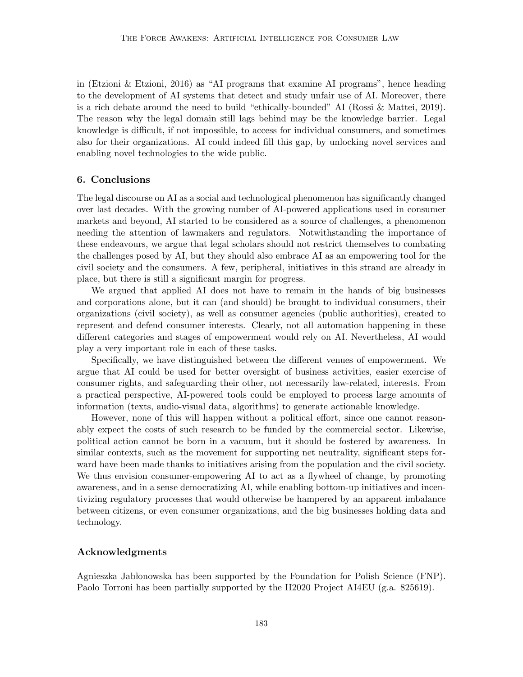in (Etzioni & Etzioni, 2016) as "AI programs that examine AI programs", hence heading to the development of AI systems that detect and study unfair use of AI. Moreover, there is a rich debate around the need to build "ethically-bounded" AI (Rossi & Mattei, 2019). The reason why the legal domain still lags behind may be the knowledge barrier. Legal knowledge is difficult, if not impossible, to access for individual consumers, and sometimes also for their organizations. AI could indeed fill this gap, by unlocking novel services and enabling novel technologies to the wide public.

### 6. Conclusions

The legal discourse on AI as a social and technological phenomenon has significantly changed over last decades. With the growing number of AI-powered applications used in consumer markets and beyond, AI started to be considered as a source of challenges, a phenomenon needing the attention of lawmakers and regulators. Notwithstanding the importance of these endeavours, we argue that legal scholars should not restrict themselves to combating the challenges posed by AI, but they should also embrace AI as an empowering tool for the civil society and the consumers. A few, peripheral, initiatives in this strand are already in place, but there is still a significant margin for progress.

We argued that applied AI does not have to remain in the hands of big businesses and corporations alone, but it can (and should) be brought to individual consumers, their organizations (civil society), as well as consumer agencies (public authorities), created to represent and defend consumer interests. Clearly, not all automation happening in these different categories and stages of empowerment would rely on AI. Nevertheless, AI would play a very important role in each of these tasks.

Specifically, we have distinguished between the different venues of empowerment. We argue that AI could be used for better oversight of business activities, easier exercise of consumer rights, and safeguarding their other, not necessarily law-related, interests. From a practical perspective, AI-powered tools could be employed to process large amounts of information (texts, audio-visual data, algorithms) to generate actionable knowledge.

However, none of this will happen without a political effort, since one cannot reasonably expect the costs of such research to be funded by the commercial sector. Likewise, political action cannot be born in a vacuum, but it should be fostered by awareness. In similar contexts, such as the movement for supporting net neutrality, significant steps forward have been made thanks to initiatives arising from the population and the civil society. We thus envision consumer-empowering AI to act as a flywheel of change, by promoting awareness, and in a sense democratizing AI, while enabling bottom-up initiatives and incentivizing regulatory processes that would otherwise be hampered by an apparent imbalance between citizens, or even consumer organizations, and the big businesses holding data and technology.

## Acknowledgments

Agnieszka Jab lonowska has been supported by the Foundation for Polish Science (FNP). Paolo Torroni has been partially supported by the H2020 Project AI4EU (g.a. 825619).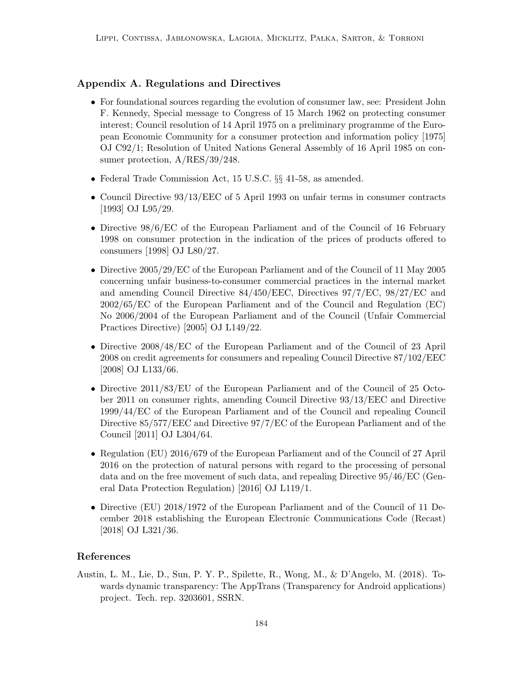## Appendix A. Regulations and Directives

- For foundational sources regarding the evolution of consumer law, see: President John F. Kennedy, Special message to Congress of 15 March 1962 on protecting consumer interest; Council resolution of 14 April 1975 on a preliminary programme of the European Economic Community for a consumer protection and information policy [1975] OJ C92/1; Resolution of United Nations General Assembly of 16 April 1985 on consumer protection, A/RES/39/248.
- Federal Trade Commission Act, 15 U.S.C. §§ 41-58, as amended.
- Council Directive 93/13/EEC of 5 April 1993 on unfair terms in consumer contracts [1993] OJ L95/29.
- Directive  $98/6$ /EC of the European Parliament and of the Council of 16 February 1998 on consumer protection in the indication of the prices of products offered to consumers [1998] OJ L80/27.
- Directive 2005/29/EC of the European Parliament and of the Council of 11 May 2005 concerning unfair business-to-consumer commercial practices in the internal market and amending Council Directive 84/450/EEC, Directives 97/7/EC, 98/27/EC and 2002/65/EC of the European Parliament and of the Council and Regulation (EC) No 2006/2004 of the European Parliament and of the Council (Unfair Commercial Practices Directive) [2005] OJ L149/22.
- Directive 2008/48/EC of the European Parliament and of the Council of 23 April 2008 on credit agreements for consumers and repealing Council Directive 87/102/EEC [2008] OJ L133/66.
- Directive 2011/83/EU of the European Parliament and of the Council of 25 October 2011 on consumer rights, amending Council Directive 93/13/EEC and Directive 1999/44/EC of the European Parliament and of the Council and repealing Council Directive 85/577/EEC and Directive 97/7/EC of the European Parliament and of the Council [2011] OJ L304/64.
- Regulation (EU) 2016/679 of the European Parliament and of the Council of 27 April 2016 on the protection of natural persons with regard to the processing of personal data and on the free movement of such data, and repealing Directive 95/46/EC (General Data Protection Regulation) [2016] OJ L119/1.
- Directive (EU) 2018/1972 of the European Parliament and of the Council of 11 December 2018 establishing the European Electronic Communications Code (Recast) [2018] OJ L321/36.

## References

Austin, L. M., Lie, D., Sun, P. Y. P., Spilette, R., Wong, M., & D'Angelo, M. (2018). Towards dynamic transparency: The AppTrans (Transparency for Android applications) project. Tech. rep. 3203601, SSRN.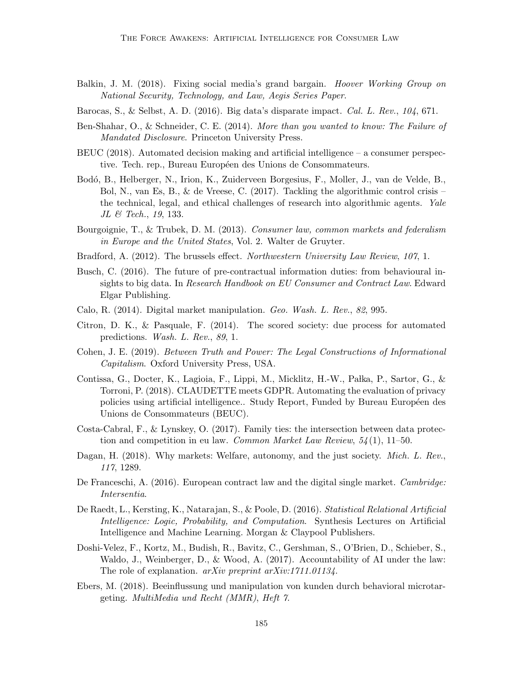- Balkin, J. M. (2018). Fixing social media's grand bargain. Hoover Working Group on National Security, Technology, and Law, Aegis Series Paper.
- Barocas, S., & Selbst, A. D. (2016). Big data's disparate impact. Cal. L. Rev.,  $104$ , 671.
- Ben-Shahar, O., & Schneider, C. E. (2014). More than you wanted to know: The Failure of Mandated Disclosure. Princeton University Press.
- BEUC (2018). Automated decision making and artificial intelligence a consumer perspective. Tech. rep., Bureau Européen des Unions de Consommateurs.
- Bodó, B., Helberger, N., Irion, K., Zuiderveen Borgesius, F., Moller, J., van de Velde, B., Bol, N., van Es, B., & de Vreese, C. (2017). Tackling the algorithmic control crisis – the technical, legal, and ethical challenges of research into algorithmic agents. Yale JL & Tech., 19, 133.
- Bourgoignie, T., & Trubek, D. M. (2013). Consumer law, common markets and federalism in Europe and the United States, Vol. 2. Walter de Gruyter.
- Bradford, A. (2012). The brussels effect. Northwestern University Law Review, 107, 1.
- Busch, C. (2016). The future of pre-contractual information duties: from behavioural insights to big data. In Research Handbook on EU Consumer and Contract Law. Edward Elgar Publishing.
- Calo, R. (2014). Digital market manipulation. Geo. Wash. L. Rev., 82, 995.
- Citron, D. K., & Pasquale, F. (2014). The scored society: due process for automated predictions. Wash. L. Rev., 89, 1.
- Cohen, J. E. (2019). Between Truth and Power: The Legal Constructions of Informational Capitalism. Oxford University Press, USA.
- Contissa, G., Docter, K., Lagioia, F., Lippi, M., Micklitz, H.-W., Pałka, P., Sartor, G., & Torroni, P. (2018). CLAUDETTE meets GDPR. Automating the evaluation of privacy policies using artificial intelligence.. Study Report, Funded by Bureau Européen des Unions de Consommateurs (BEUC).
- Costa-Cabral, F., & Lynskey, O. (2017). Family ties: the intersection between data protection and competition in eu law. *Common Market Law Review*,  $54(1)$ ,  $11-50$ .
- Dagan, H. (2018). Why markets: Welfare, autonomy, and the just society. Mich. L. Rev., 117, 1289.
- De Franceschi, A. (2016). European contract law and the digital single market. Cambridge: Intersentia.
- De Raedt, L., Kersting, K., Natarajan, S., & Poole, D. (2016). Statistical Relational Artificial Intelligence: Logic, Probability, and Computation. Synthesis Lectures on Artificial Intelligence and Machine Learning. Morgan & Claypool Publishers.
- Doshi-Velez, F., Kortz, M., Budish, R., Bavitz, C., Gershman, S., O'Brien, D., Schieber, S., Waldo, J., Weinberger, D., & Wood, A. (2017). Accountability of AI under the law: The role of explanation. *arXiv preprint arXiv:1711.01134*.
- Ebers, M. (2018). Beeinflussung und manipulation von kunden durch behavioral microtargeting. MultiMedia und Recht (MMR), Heft 7.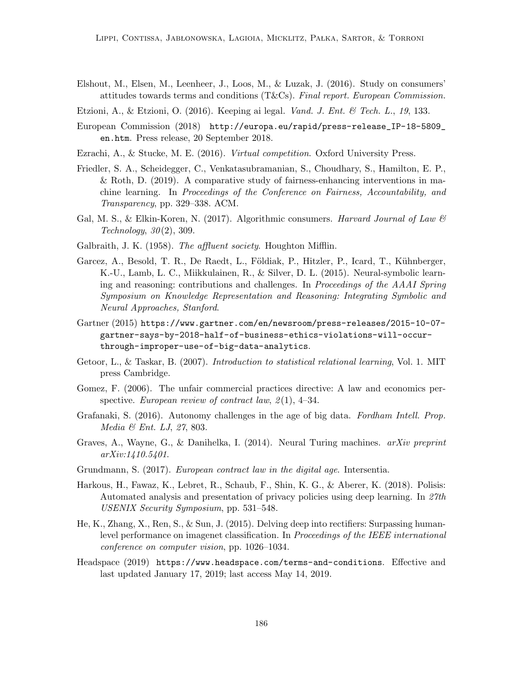Elshout, M., Elsen, M., Leenheer, J., Loos, M., & Luzak, J. (2016). Study on consumers' attitudes towards terms and conditions (T&Cs). Final report. European Commission.

Etzioni, A., & Etzioni, O. (2016). Keeping ai legal. *Vand. J. Ent. & Tech. L.*, 19, 133.

- European Commission (2018) http://europa.eu/rapid/press-release\_IP-18-5809\_ en.htm. Press release, 20 September 2018.
- Ezrachi, A., & Stucke, M. E. (2016). Virtual competition. Oxford University Press.
- Friedler, S. A., Scheidegger, C., Venkatasubramanian, S., Choudhary, S., Hamilton, E. P., & Roth, D. (2019). A comparative study of fairness-enhancing interventions in machine learning. In Proceedings of the Conference on Fairness, Accountability, and Transparency, pp. 329–338. ACM.
- Gal, M. S., & Elkin-Koren, N. (2017). Algorithmic consumers. Harvard Journal of Law  $\mathcal{C}$  $Technology, 30(2), 309.$
- Galbraith, J. K. (1958). The affluent society. Houghton Mifflin.
- Garcez, A., Besold, T. R., De Raedt, L., Földiak, P., Hitzler, P., Icard, T., Kühnberger, K.-U., Lamb, L. C., Miikkulainen, R., & Silver, D. L. (2015). Neural-symbolic learning and reasoning: contributions and challenges. In Proceedings of the AAAI Spring Symposium on Knowledge Representation and Reasoning: Integrating Symbolic and Neural Approaches, Stanford.
- Gartner (2015) https://www.gartner.com/en/newsroom/press-releases/2015-10-07 gartner-says-by-2018-half-of-business-ethics-violations-will-occurthrough-improper-use-of-big-data-analytics.
- Getoor, L., & Taskar, B. (2007). Introduction to statistical relational learning, Vol. 1. MIT press Cambridge.
- Gomez, F. (2006). The unfair commercial practices directive: A law and economics perspective. European review of contract law,  $2(1)$ , 4–34.
- Grafanaki, S. (2016). Autonomy challenges in the age of big data. Fordham Intell. Prop. Media & Ent. LJ, 27, 803.
- Graves, A., Wayne, G., & Danihelka, I. (2014). Neural Turing machines. *arXiv preprint* arXiv:1410.5401.
- Grundmann, S. (2017). European contract law in the digital age. Intersentia.
- Harkous, H., Fawaz, K., Lebret, R., Schaub, F., Shin, K. G., & Aberer, K. (2018). Polisis: Automated analysis and presentation of privacy policies using deep learning. In 27th USENIX Security Symposium, pp. 531–548.
- He, K., Zhang, X., Ren, S., & Sun, J. (2015). Delving deep into rectifiers: Surpassing humanlevel performance on imagenet classification. In Proceedings of the IEEE international conference on computer vision, pp. 1026–1034.
- Headspace (2019) https://www.headspace.com/terms-and-conditions. Effective and last updated January 17, 2019; last access May 14, 2019.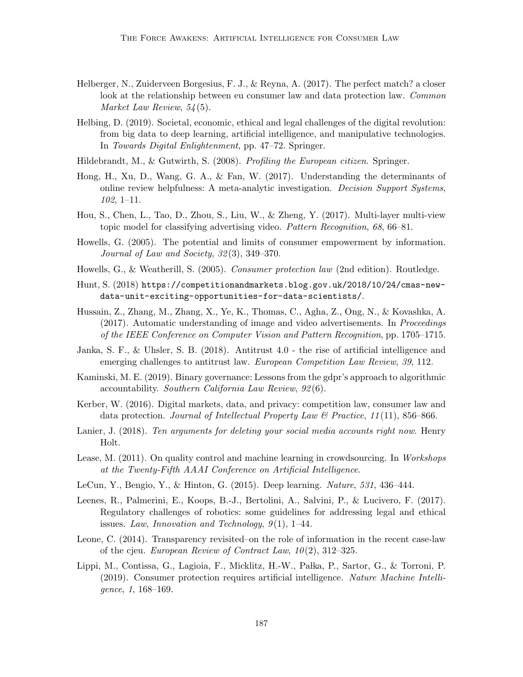- Helberger, N., Zuiderveen Borgesius, F. J., & Reyna, A. (2017). The perfect match? a closer look at the relationship between eu consumer law and data protection law. Common Market Law Review, 54 (5).
- Helbing, D. (2019). Societal, economic, ethical and legal challenges of the digital revolution: from big data to deep learning, artificial intelligence, and manipulative technologies. In Towards Digital Enlightenment, pp. 47–72. Springer.
- Hildebrandt, M., & Gutwirth, S. (2008). Profiling the European citizen. Springer.
- Hong, H., Xu, D., Wang, G. A., & Fan, W. (2017). Understanding the determinants of online review helpfulness: A meta-analytic investigation. Decision Support Systems, 102, 1–11.
- Hou, S., Chen, L., Tao, D., Zhou, S., Liu, W., & Zheng, Y. (2017). Multi-layer multi-view topic model for classifying advertising video. Pattern Recognition, 68, 66–81.
- Howells, G. (2005). The potential and limits of consumer empowerment by information. Journal of Law and Society, 32 (3), 349–370.
- Howells, G., & Weatherill, S. (2005). Consumer protection law (2nd edition). Routledge.
- Hunt, S. (2018) https://competitionandmarkets.blog.gov.uk/2018/10/24/cmas-newdata-unit-exciting-opportunities-for-data-scientists/.
- Hussain, Z., Zhang, M., Zhang, X., Ye, K., Thomas, C., Agha, Z., Ong, N., & Kovashka, A. (2017). Automatic understanding of image and video advertisements. In Proceedings of the IEEE Conference on Computer Vision and Pattern Recognition, pp. 1705–1715.
- Janka, S. F., & Uhsler, S. B. (2018). Antitrust 4.0 the rise of artificial intelligence and emerging challenges to antitrust law. European Competition Law Review, 39, 112.
- Kaminski, M. E. (2019). Binary governance: Lessons from the gdpr's approach to algorithmic accountability. Southern California Law Review, 92 (6).
- Kerber, W. (2016). Digital markets, data, and privacy: competition law, consumer law and data protection. Journal of Intellectual Property Law & Practice,  $11(11)$ , 856–866.
- Lanier, J. (2018). Ten arguments for deleting your social media accounts right now. Henry Holt.
- Lease, M. (2011). On quality control and machine learning in crowdsourcing. In Workshops at the Twenty-Fifth AAAI Conference on Artificial Intelligence.
- LeCun, Y., Bengio, Y., & Hinton, G. (2015). Deep learning. Nature, 531, 436–444.
- Leenes, R., Palmerini, E., Koops, B.-J., Bertolini, A., Salvini, P., & Lucivero, F. (2017). Regulatory challenges of robotics: some guidelines for addressing legal and ethical issues. Law, Innovation and Technology,  $9(1)$ , 1–44.
- Leone, C. (2014). Transparency revisited–on the role of information in the recent case-law of the cjeu. European Review of Contract Law,  $10(2)$ , 312–325.
- Lippi, M., Contissa, G., Lagioia, F., Micklitz, H.-W., Pałka, P., Sartor, G., & Torroni, P. (2019). Consumer protection requires artificial intelligence. Nature Machine Intelligence, 1, 168–169.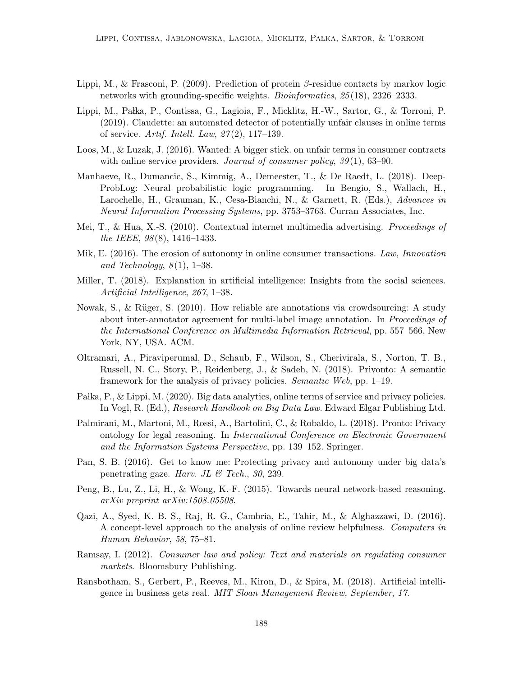- Lippi, M., & Frasconi, P. (2009). Prediction of protein β-residue contacts by markov logic networks with grounding-specific weights. Bioinformatics, 25 (18), 2326–2333.
- Lippi, M., Pałka, P., Contissa, G., Lagioia, F., Micklitz, H.-W., Sartor, G., & Torroni, P. (2019). Claudette: an automated detector of potentially unfair clauses in online terms of service. Artif. Intell. Law,  $27(2)$ , 117-139.
- Loos, M., & Luzak, J. (2016). Wanted: A bigger stick. on unfair terms in consumer contracts with online service providers. Journal of consumer policy,  $39(1)$ ,  $63-90$ .
- Manhaeve, R., Dumancic, S., Kimmig, A., Demeester, T., & De Raedt, L. (2018). Deep-ProbLog: Neural probabilistic logic programming. In Bengio, S., Wallach, H., Larochelle, H., Grauman, K., Cesa-Bianchi, N., & Garnett, R. (Eds.), Advances in Neural Information Processing Systems, pp. 3753–3763. Curran Associates, Inc.
- Mei, T., & Hua, X.-S. (2010). Contextual internet multimedia advertising. *Proceedings of* the IEEE, 98 (8), 1416–1433.
- Mik, E. (2016). The erosion of autonomy in online consumer transactions. Law, Innovation and Technology,  $8(1)$ , 1–38.
- Miller, T. (2018). Explanation in artificial intelligence: Insights from the social sciences. Artificial Intelligence, 267, 1–38.
- Nowak, S., & R¨uger, S. (2010). How reliable are annotations via crowdsourcing: A study about inter-annotator agreement for multi-label image annotation. In *Proceedings of* the International Conference on Multimedia Information Retrieval, pp. 557–566, New York, NY, USA. ACM.
- Oltramari, A., Piraviperumal, D., Schaub, F., Wilson, S., Cherivirala, S., Norton, T. B., Russell, N. C., Story, P., Reidenberg, J., & Sadeh, N. (2018). Privonto: A semantic framework for the analysis of privacy policies. Semantic Web, pp. 1–19.
- Pałka, P., & Lippi, M. (2020). Big data analytics, online terms of service and privacy policies. In Vogl, R. (Ed.), Research Handbook on Big Data Law. Edward Elgar Publishing Ltd.
- Palmirani, M., Martoni, M., Rossi, A., Bartolini, C., & Robaldo, L. (2018). Pronto: Privacy ontology for legal reasoning. In International Conference on Electronic Government and the Information Systems Perspective, pp. 139–152. Springer.
- Pan, S. B. (2016). Get to know me: Protecting privacy and autonomy under big data's penetrating gaze. Harv. JL & Tech., 30, 239.
- Peng, B., Lu, Z., Li, H., & Wong, K.-F. (2015). Towards neural network-based reasoning. arXiv preprint arXiv:1508.05508.
- Qazi, A., Syed, K. B. S., Raj, R. G., Cambria, E., Tahir, M., & Alghazzawi, D. (2016). A concept-level approach to the analysis of online review helpfulness. Computers in Human Behavior, 58, 75–81.
- Ramsay, I. (2012). Consumer law and policy: Text and materials on regulating consumer markets. Bloomsbury Publishing.
- Ransbotham, S., Gerbert, P., Reeves, M., Kiron, D., & Spira, M. (2018). Artificial intelligence in business gets real. MIT Sloan Management Review, September, 17.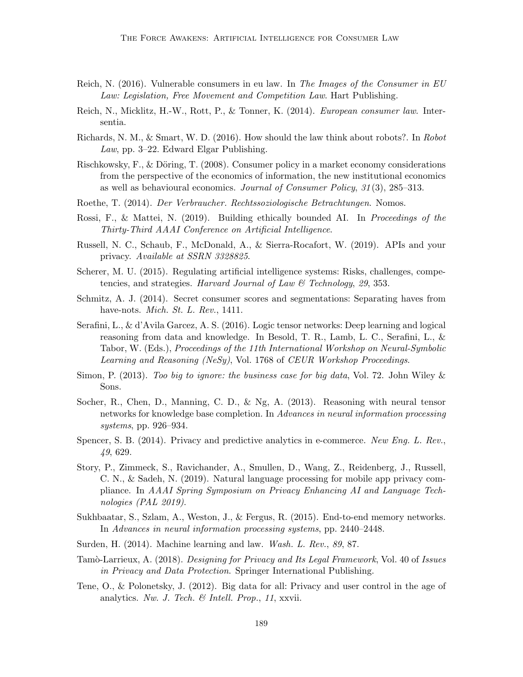- Reich, N. (2016). Vulnerable consumers in eu law. In The Images of the Consumer in EU Law: Legislation, Free Movement and Competition Law. Hart Publishing.
- Reich, N., Micklitz, H.-W., Rott, P., & Tonner, K. (2014). European consumer law. Intersentia.
- Richards, N. M., & Smart, W. D. (2016). How should the law think about robots?. In Robot Law, pp. 3–22. Edward Elgar Publishing.
- Rischkowsky, F.,  $\&$  Döring, T. (2008). Consumer policy in a market economy considerations from the perspective of the economics of information, the new institutional economics as well as behavioural economics. Journal of Consumer Policy, 31 (3), 285–313.
- Roethe, T. (2014). Der Verbraucher. Rechtssoziologische Betrachtungen. Nomos.
- Rossi, F., & Mattei, N. (2019). Building ethically bounded AI. In *Proceedings of the* Thirty-Third AAAI Conference on Artificial Intelligence.
- Russell, N. C., Schaub, F., McDonald, A., & Sierra-Rocafort, W. (2019). APIs and your privacy. Available at SSRN 3328825.
- Scherer, M. U. (2015). Regulating artificial intelligence systems: Risks, challenges, competencies, and strategies. Harvard Journal of Law  $\mathcal{C}$  Technology, 29, 353.
- Schmitz, A. J. (2014). Secret consumer scores and segmentations: Separating haves from have-nots. *Mich. St. L. Rev.*, 1411.
- Serafini, L., & d'Avila Garcez, A. S. (2016). Logic tensor networks: Deep learning and logical reasoning from data and knowledge. In Besold, T. R., Lamb, L. C., Serafini, L., & Tabor, W. (Eds.), Proceedings of the 11th International Workshop on Neural-Symbolic Learning and Reasoning (NeSy), Vol. 1768 of CEUR Workshop Proceedings.
- Simon, P. (2013). Too big to ignore: the business case for big data, Vol. 72. John Wiley & Sons.
- Socher, R., Chen, D., Manning, C. D., & Ng, A. (2013). Reasoning with neural tensor networks for knowledge base completion. In Advances in neural information processing systems, pp. 926–934.
- Spencer, S. B. (2014). Privacy and predictive analytics in e-commerce. New Eng. L. Rev., 49, 629.
- Story, P., Zimmeck, S., Ravichander, A., Smullen, D., Wang, Z., Reidenberg, J., Russell, C. N., & Sadeh, N. (2019). Natural language processing for mobile app privacy compliance. In AAAI Spring Symposium on Privacy Enhancing AI and Language Technologies (PAL 2019).
- Sukhbaatar, S., Szlam, A., Weston, J., & Fergus, R. (2015). End-to-end memory networks. In Advances in neural information processing systems, pp. 2440–2448.
- Surden, H. (2014). Machine learning and law. Wash. L. Rev., 89, 87.
- Tamò-Larrieux, A. (2018). Designing for Privacy and Its Legal Framework, Vol. 40 of Issues in Privacy and Data Protection. Springer International Publishing.
- Tene, O., & Polonetsky, J. (2012). Big data for all: Privacy and user control in the age of analytics. Nw. J. Tech. & Intell. Prop., 11, xxvii.